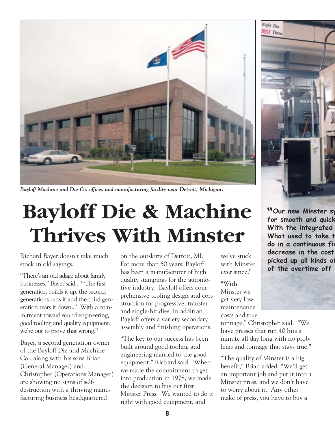

*Bayloff Machine and Die Co. offices and manufacturing facility near Detroit, Michigan.*

## **Bayloff Die & Machine Thrives With Minster**

Richard Bayer doesn't take much stock in old sayings.

"There's an old adage about family businesses," Bayer said... "'The first generation builds it up, the second generations runs it and the third generation tears it down...' With a commitment toward sound engineering, good tooling and quality equipment, we're out to prove that wrong."

Bayer, a second generation owner of the Bayloff Die and Machine Co., along with his sons Brian (General Manager) and Christopher (Operations Manager) are showing no signs of selfdestruction with a thriving manufacturing business headquartered

on the outskirts of Detroit, MI. For more than 50 years, Bayloff has been a manufacturer of high quality stampings for the automotive industry. Bayloff offers comprehensive tooling design and construction for progressive, transfer and single-hit dies. In addition Bayloff offers a variety secondary assembly and finishing operations.

"The key to our success has been built around good tooling and engineering married to the good equipment," Richard said. "When we made the commitment to get into production in 1978, we made the decision to buy our first Minster Press. We wanted to do it right with good equipment, and

we've stuck with Minster ever since."

"With Minster we get very low maintenance costs and true

tonnage," Christopher said. "We have presses that run 40 hits a minute all day long with no problems and tonnage that stays true."

"The quality of Minster is a big benefit," Brian added. "We'll get an important job and put it into a Minster press, and we don't have to worry about it. Any other make of press, you have to buy a



**ìOur new Minster sy for smooth and quick With the integrated What used to take t do in a continuous fiv decrease in the cost picked up all kinds of of the overtime off**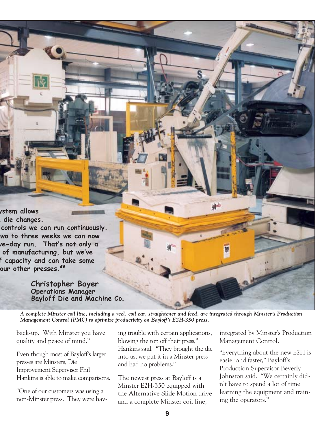**ystem allows k die changes.**

**controls we can run continuously. two to three weeks we can now ve-day run. Thatís not only a of manufacturing, but weíve f capacity and can take some our other presses.î**

> **Christopher Bayer Operations Manager** Bayloff Die and Machine Co.

*A complete Minster coil line, including a reel, coil car, straightener and feed, are integrated through Minster's Production Management Control (PMC) to optimize productivity on Bayloff's E2H-350 press.*

back-up. With Minster you have quality and peace of mind."

Even though most of Bayloff's larger presses are Minsters, Die Improvement Supervisor Phil Hankins is able to make comparisons.

"One of our customers was using a non-Minster press. They were hav-

ing trouble with certain applications, blowing the top off their press," Hankins said. "They brought the die into us, we put it in a Minster press and had no problems."

The newest press at Bayloff is a Minster E2H-350 equipped with the Alternative Slide Motion drive and a complete Minster coil line,

integrated by Minster's Production Management Control.

"Everything about the new E2H is easier and faster," Bayloff's Production Supervisor Beverly Johnston said. "We certainly didn't have to spend a lot of time learning the equipment and training the operators."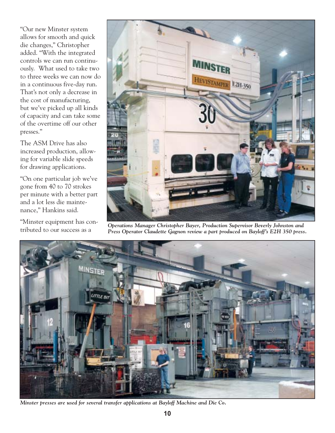"Our new Minster system allows for smooth and quick die changes," Christopher added. "With the integrated controls we can run continuously. What used to take two to three weeks we can now do in a continuous five-day run. That's not only a decrease in the cost of manufacturing, but we've picked up all kinds of capacity and can take some of the overtime off our other presses."

The ASM Drive has also increased production, allowing for variable slide speeds for drawing applications.

"On one particular job we've gone from 40 to 70 strokes per minute with a better part and a lot less die maintenance," Hankins said.

"Minster equipment has con-



tributed to our success as a *Operations Manager Christopher Bayer, Production Supervisor Beverly Johnston and Press Operator Claudette Gagnon review a part produced on Bayloff's E2H 350 press.*



*Minster presses are used for several transfer applications at Bayloff Machine and Die Co.*